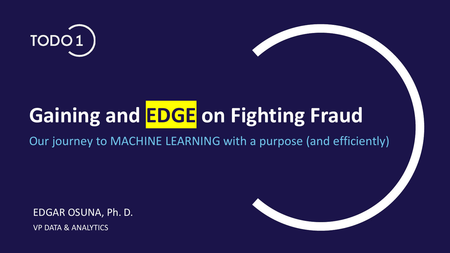

## **Gaining and EDGE** on Fighting Fraud

Our journey to MACHINE LEARNING with a purpose (and efficiently)

EDGAR OSUNA, Ph. D.

VP DATA & ANALYTICS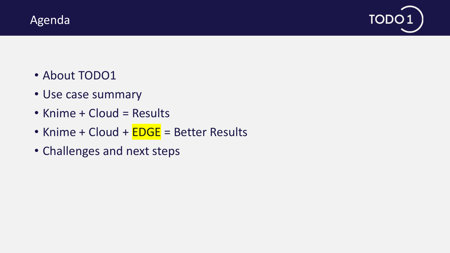



- About TODO1
- Use case summary
- Knime + Cloud = Results
- Knime + Cloud + **EDGE** = Better Results
- Challenges and next steps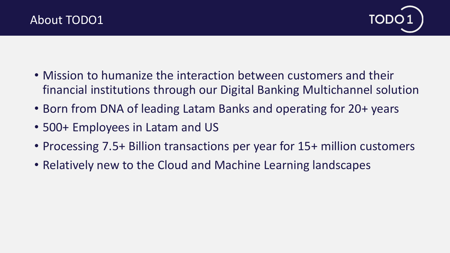

- Mission to humanize the interaction between customers and their financial institutions through our Digital Banking Multichannel solution
- Born from DNA of leading Latam Banks and operating for 20+ years
- 500+ Employees in Latam and US
- Processing 7.5+ Billion transactions per year for 15+ million customers
- Relatively new to the Cloud and Machine Learning landscapes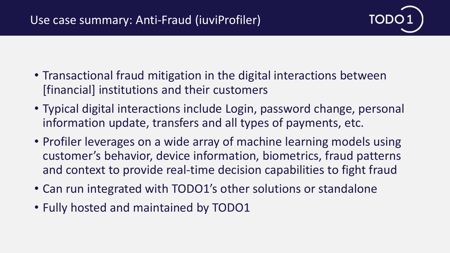

- Transactional fraud mitigation in the digital interactions between [financial] institutions and their customers
- Typical digital interactions include Login, password change, personal information update, transfers and all types of payments, etc.
- Profiler leverages on a wide array of machine learning models using customer's behavior, device information, biometrics, fraud patterns and context to provide real-time decision capabilities to fight fraud
- Can run integrated with TODO1's other solutions or standalone
- Fully hosted and maintained by TODO1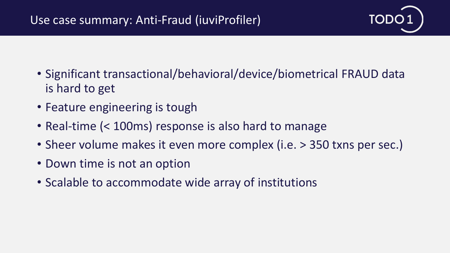

- Significant transactional/behavioral/device/biometrical FRAUD data is hard to get
- Feature engineering is tough
- Real-time (< 100ms) response is also hard to manage
- Sheer volume makes it even more complex (i.e. > 350 txns per sec.)
- Down time is not an option
- Scalable to accommodate wide array of institutions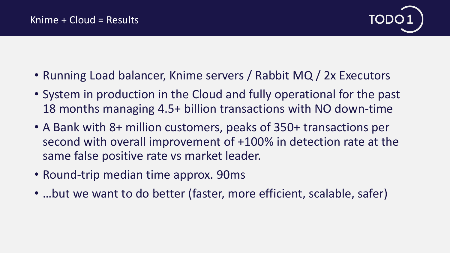

- Running Load balancer, Knime servers / Rabbit MQ / 2x Executors
- System in production in the Cloud and fully operational for the past 18 months managing 4.5+ billion transactions with NO down-time
- A Bank with 8+ million customers, peaks of 350+ transactions per second with overall improvement of +100% in detection rate at the same false positive rate vs market leader.
- Round-trip median time approx. 90ms
- …but we want to do better (faster, more efficient, scalable, safer)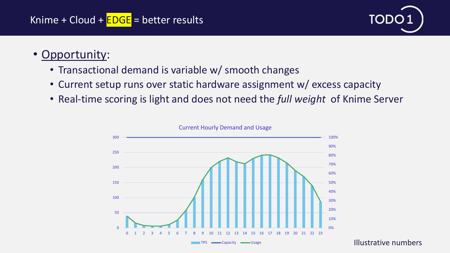

## • Opportunity:

- Transactional demand is variable w/ smooth changes
- Current setup runs over static hardware assignment w/ excess capacity
- Real-time scoring is light and does not need the *full weight* of Knime Server



#### Current Hourly Demand and Usage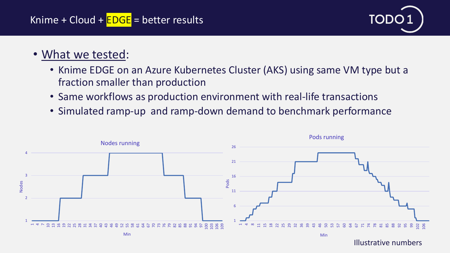

## • What we tested:

- Knime EDGE on an Azure Kubernetes Cluster (AKS) using same VM type but a fraction smaller than production
- Same workflows as production environment with real-life transactions
- Simulated ramp-up and ramp-down demand to benchmark performance

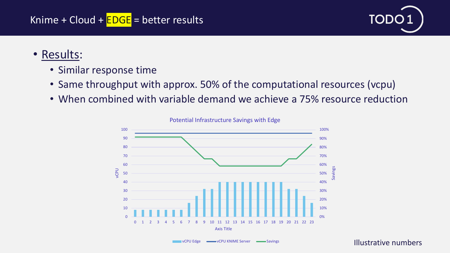

### • Results:

- Similar response time
- Same throughput with approx. 50% of the computational resources (vcpu)
- When combined with variable demand we achieve a 75% resource reduction



Potential Infrastructure Savings with Edge

#### Illustrative numbers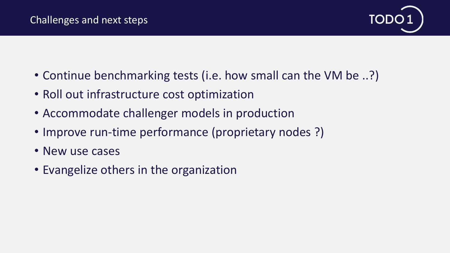

- Continue benchmarking tests (i.e. how small can the VM be ..?)
- Roll out infrastructure cost optimization
- Accommodate challenger models in production
- Improve run-time performance (proprietary nodes ?)
- New use cases
- Evangelize others in the organization